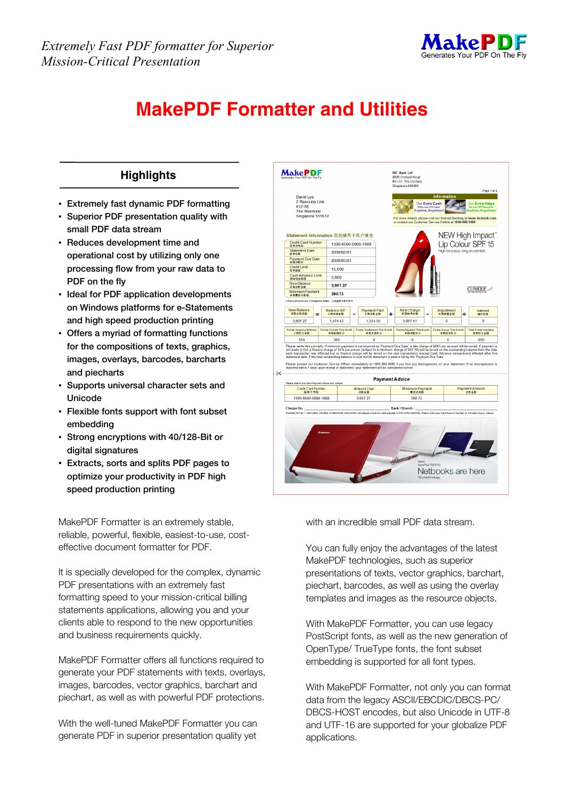

## **MakePDF Formatter and Utilities**

## **IBC Bank Ltd**<br>8888 Orchard R<br>#01-01, The Orchard **MakePDF Highlights**  David Lee<br>2 Riverside Link<br>#12-88 ▪ **Extremely fast dynamic PDF formatting**  t Extra Cash The Riverside<br>Singapore 555612 ▪ **Superior PDF presentation quality with**  Banking at www. **small PDF data stream**  NEW High Impact" Statement Information 您的信用卡账户信息 ▪ **Reduces development time and**  Credit Card Number | 1390-6560-0069-1668 Lip Colour SPF 15 信用卡号码<br>Statement Date<br>岸单日期 2009/02/01 **operational cost by utilizing only one**  <sub>岸美日期</sub><br>Payment Due Date<br><sup>副職連載日</sup> 2009/03/01 副期速軟目<br>Credit Limit<br>信用観度 **processing flow from your raw data to**  15.000 Cash Advance Limit<br>预信现金额度 5,000 **PDF on the fly**  New Balan<br>本期还軟首類  $3,907.2$ **CLINIOUE** ▪ **Ideal for PDF application developments**  Minimum Pa<br>本期最低还数额 390.73 **on Windows platforms for e-Statements**  New Balance<br>本期还款总额 Balance B/F Payment Paid New Charge<br>本期账单金额 Adjustment<br>本期调整金额 Interest<br>循环利息  $\ddot{}$ **and high speed production printing**  3 907 27 147442 1 234 56 3 667 41  $\mathbf{a}$ ▪ **Offers a myriad of formatting functions**  ints Opening Balanc<br>上期积分余额 ts Earned This<br>本期新婚和公 Redeemed This M<br>本期兑换积分 oints Adjusted This Mic<br>本期调整积分 tsBonusThisM<br>本期奖励积分 tal Points Availa<br>本期积分余额 550 300  $\ddot{\mathbf{0}}$ our and this promptly. If minimum payment is not received by Payment Due Date`s a late charge of \$545 per acco<br>made in full, a finance charge of 24% per annum (subject to a minimum charge of \$52.50) will be levied on the o **for the compositions of texts, graphics,**  transactions (<br>h full by the "Pa" **images, overlays, barcodes, barcharts**  .<br>Please contact our Customer Service Officer immediately at 1800 888 8888 if you find any dis<br>reported within 7 days upon receipt of statement, your statement will be considered correct. **and piecharts Payment Advice** ▪ **Supports universal character sets and**  Credit Card Num<br>信用卡号码 Minimum Paymen<br>最低速数额 Amount Due<br>运款总额 Payment A<br>狂教全1 **Unicode**  1390-6560-0069-1668 3.907.27 390.73 **Bank / Branch** ▪ **Flexible fonts support with font subset embedding**  ▪ **Strong encryptions with 40/128-Bit or digital signatures**  ▪ **Extracts, sorts and splits PDF pages to**  Netbooks are here **optimize your productivity in PDF high speed production printing**

MakePDF Formatter is an extremely stable, reliable, powerful, flexible, easiest-to-use, costeffective document formatter for PDF.

It is specially developed for the complex, dynamic PDF presentations with an extremely fast formatting speed to your mission-critical billing statements applications, allowing you and your clients able to respond to the new opportunities and business requirements quickly.

MakePDF Formatter offers all functions required to generate your PDF statements with texts, overlays, images, barcodes, vector graphics, barchart and piechart, as well as with powerful PDF protections.

With the well-tuned MakePDF Formatter you can generate PDF in superior presentation quality yet with an incredible small PDF data stream.

You can fully enjoy the advantages of the latest MakePDF technologies, such as superior presentations of texts, vector graphics, barchart, piechart, barcodes, as well as using the overlay templates and images as the resource objects.

With MakePDF Formatter, you can use legacy PostScript fonts, as well as the new generation of OpenType/ TrueType fonts, the font subset embedding is supported for all font types.

With MakePDF Formatter, not only you can format data from the legacy ASCII/EBCDIC/DBCS-PC/ DBCS-HOST encodes, but also Unicode in UTF-8 and UTF-16 are supported for your globalize PDF applications.